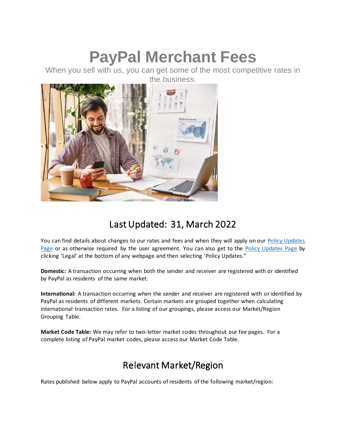# **PayPal Merchant Fees**

When you sell with us, you can get some of the most competitive rates in the business.



# Last Updated: 31, March 2022

You can find details about changes to our rates and fees and when they will apply on our Policy Updates [Page](https://www.paypal.com/us/webapps/mpp/ua/upcoming-policies-full?locale.x=en_US) or as otherwise required by the user agreement. You can also get to the [Policy Updates Page](https://www.paypal.com/us/webapps/mpp/ua/upcoming-policies-full?locale.x=en_US) by clicking 'Legal' at the bottom of any webpage and then selecting 'Policy Updates."

**Domestic:** A transaction occurring when both the sender and receiver are registered with or identified by PayPal as residents of the same market.

**International:** A transaction occurring when the sender and receiver are registered with or identified by PayPal as residents of different markets. Certain markets are grouped together when calculating international transaction rates. For a listing of our groupings, please access our Market/Region Grouping Table.

**Market Code Table:** We may refer to two-letter market codes throughout our fee pages. For a complete listing of PayPal market codes, please access our Market Code Table.

# Relevant Market/Region

Rates published below apply to PayPal accounts of residents of the following market/region: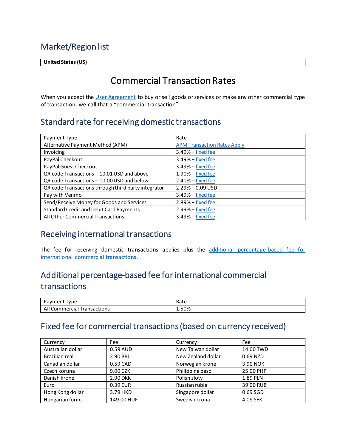### Market/Region list

<span id="page-1-2"></span>**United States (US)**

# Commercial Transaction Rates

When you accept th[e User Agreement](https://www.paypal.com/us/webapps/mpp/ua/useragreement-full?locale.x=en_US) to buy or sell goods or services or make any other commercial type of transaction, we call that a "commercial transaction".

### Standard rate for receiving domestic transactions

| Payment Type                                        | Rate                               |
|-----------------------------------------------------|------------------------------------|
| Alternative Payment Method (APM)                    | <b>APM Transaction Rates Apply</b> |
| Invoicing                                           | $3.49% + fixed fee$                |
| PayPal Checkout                                     | $3.49% + fixed fee$                |
| PayPal Guest Checkout                               | 3.49% + fixed fee                  |
| QR code Transactions - 10.01 USD and above          | $1.90% + fixed$ fixed fee          |
| QR code Transactions - 10.00 USD and below          | $2.40% + fixed$ fixed fee          |
| QR code Transactions through third party integrator | $2.29% + 0.09$ USD                 |
| Pay with Venmo                                      | $3.49% + fixed fee$                |
| Send/Receive Money for Goods and Services           | $2.89% + fixed fee$                |
| <b>Standard Credit and Debit Card Payments</b>      | $2.99% + fixed fee$                |
| All Other Commercial Transactions                   | $3.49% + fixed$ fixed fee          |

#### Receiving international transactions

The fee for receiving domestic transactions applies plus the additional percentage-based fee for [international commercial transactions.](#page-1-1)

## <span id="page-1-1"></span>Additional percentage-based fee for international commercial transactions

| -<br>'vpe<br>'avment                     | Rate          |
|------------------------------------------|---------------|
| All<br><b>Transactions</b><br>Commercial | 1.50%<br>____ |

### <span id="page-1-0"></span>Fixed fee for commercial transactions (based on currency received)

| Currency          | Fee        | Currency           | Fee       |
|-------------------|------------|--------------------|-----------|
| Australian dollar | 0.59 AUD   | New Taiwan dollar  | 14.00 TWD |
| Brazilian real    | 2.90 BRL   | New Zealand dollar | 0.69 NZD  |
| Canadian dollar   | 0.59 CAD   | Norwegian krone    | 3.90 NOK  |
| Czech koruna      | 9.00 CZK   | Philippine peso    | 25.00 PHP |
| Danish krone      | 2.90 DKK   | Polish zloty       | 1.89 PLN  |
| Euro              | 0.39 EUR   | Russian ruble      | 39.00 RUB |
| Hong Kong dollar  | 3.79 HKD   | Singapore dollar   | 0.69 SGD  |
| Hungarian forint  | 149.00 HUF | Swedish krona      | 4.09 SEK  |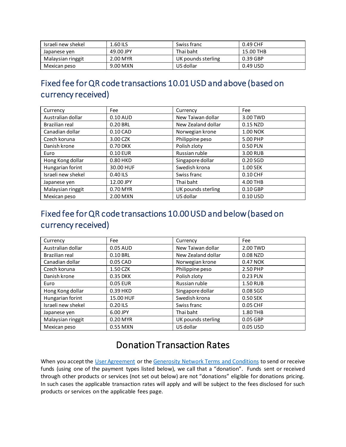| Israeli new shekel | 1.60 ILS  | Swiss franc        | 0.49 CHF  |
|--------------------|-----------|--------------------|-----------|
| Japanese ven       | 49.00 JPY | Thai baht          | 15.00 THB |
| Malaysian ringgit  | 2.00 MYR  | UK pounds sterling | 0.39 GBP  |
| Mexican peso       | 9.00 MXN  | US dollar          | 0.49 USD  |

# <span id="page-2-0"></span>Fixed fee for QR code transactions 10.01 USD and above (based on currency received)

| Currency           | Fee        | Currency           | Fee             |
|--------------------|------------|--------------------|-----------------|
| Australian dollar  | 0.10 AUD   | New Taiwan dollar  | 3.00 TWD        |
| Brazilian real     | 0.20 BRL   | New Zealand dollar | 0.15 NZD        |
| Canadian dollar    | $0.10$ CAD | Norwegian krone    | <b>1.00 NOK</b> |
| Czech koruna       | 3.00 CZK   | Philippine peso    | 5.00 PHP        |
| Danish krone       | 0.70 DKK   | Polish zloty       | 0.50 PLN        |
| Euro               | 0.10 EUR   | Russian ruble      | 3.00 RUB        |
| Hong Kong dollar   | 0.80 HKD   | Singapore dollar   | $0.20$ SGD      |
| Hungarian forint   | 30.00 HUF  | Swedish krona      | 1.00 SEK        |
| Israeli new shekel | 0.40 ILS   | Swiss franc        | 0.10 CHF        |
| Japanese yen       | 12.00 JPY  | Thai baht          | 4.00 THB        |
| Malaysian ringgit  | 0.70 MYR   | UK pounds sterling | $0.10$ GBP      |
| Mexican peso       | 2.00 MXN   | US dollar          | 0.10 USD        |

# <span id="page-2-1"></span>Fixed fee for QR code transactions 10.00 USD and below (based on currency received)

| Currency           | Fee       | Currency           | Fee             |
|--------------------|-----------|--------------------|-----------------|
| Australian dollar  | 0.05 AUD  | New Taiwan dollar  | 2.00 TWD        |
| Brazilian real     | 0.10 BRL  | New Zealand dollar | 0.08 NZD        |
| Canadian dollar    | 0.05 CAD  | Norwegian krone    | 0.47 NOK        |
| Czech koruna       | 1.50 CZK  | Philippine peso    | 2.50 PHP        |
| Danish krone       | 0.35 DKK  | Polish zloty       | 0.23 PLN        |
| Euro               | 0.05 EUR  | Russian ruble      | <b>1.50 RUB</b> |
| Hong Kong dollar   | 0.39 HKD  | Singapore dollar   | 0.08 SGD        |
| Hungarian forint   | 15.00 HUF | Swedish krona      | 0.50 SEK        |
| Israeli new shekel | 0.20 ILS  | Swiss franc        | 0.05 CHF        |
| Japanese yen       | 6.00 JPY  | Thai baht          | 1.80 THB        |
| Malaysian ringgit  | 0.20 MYR  | UK pounds sterling | 0.05 GBP        |
| Mexican peso       | 0.55 MXN  | US dollar          | 0.05 USD        |

# Donation Transaction Rates

When you accept the [User Agreement](https://www.paypal.com/us/webapps/mpp/ua/useragreement-full?locale.x=en_US) or th[e Generosity Network Terms and Conditions](https://www.paypal.com/us/webapps/mpp/ua/generositynetwork-tnc?locale.x=en_US) to send or receive funds (using one of the payment types listed below), we call that a "donation". Funds sent or received through other products or services (not set out below) are not "donations" eligible for donations pricing. In such cases the applicable transaction rates will apply and will be subject to the fees disclosed for such products or services on the applicable fees page.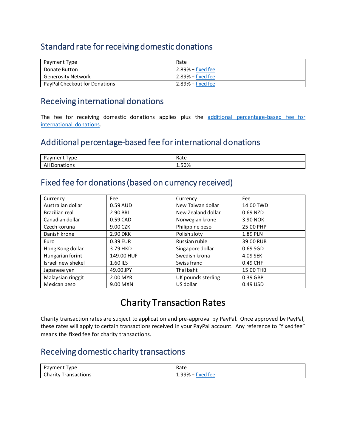### Standard rate for receiving domestic donations

| Payment Type                  | Rate                      |
|-------------------------------|---------------------------|
| Donate Button                 | $2.89% + fixed$ fixed fee |
| Generosity Network            | $2.89%$ + fixed fee       |
| PayPal Checkout for Donations | $2.89% + fixed$ fixed fee |

#### Receiving international donations

The fee for receiving domestic donations applies plus the additional percentage-based fee for [international donations.](#page-3-0)

### <span id="page-3-0"></span>Additional percentage-based fee for international donations

| -<br>vment<br>'vpe<br>$\overline{\phantom{a}}$<br>пv | י ב∼י<br>nale |
|------------------------------------------------------|---------------|
| ations<br>ΔI<br>Dona <sup>.</sup><br>nıı             | 1.50%         |

#### Fixed fee for donations (based on currency received)

| Currency           | Fee        | Currency           | Fee       |
|--------------------|------------|--------------------|-----------|
| Australian dollar  | 0.59 AUD   | New Taiwan dollar  | 14.00 TWD |
| Brazilian real     | 2.90 BRL   | New Zealand dollar | 0.69 NZD  |
| Canadian dollar    | 0.59 CAD   | Norwegian krone    | 3.90 NOK  |
| Czech koruna       | 9.00 CZK   | Philippine peso    | 25.00 PHP |
| Danish krone       | 2.90 DKK   | Polish zloty       | 1.89 PLN  |
| Euro               | 0.39 EUR   | Russian ruble      | 39.00 RUB |
| Hong Kong dollar   | 3.79 HKD   | Singapore dollar   | 0.69 SGD  |
| Hungarian forint   | 149.00 HUF | Swedish krona      | 4.09 SEK  |
| Israeli new shekel | 1.60 ILS   | Swiss franc        | 0.49 CHF  |
| Japanese yen       | 49.00 JPY  | Thai baht          | 15.00 THB |
| Malaysian ringgit  | 2.00 MYR   | UK pounds sterling | 0.39 GBP  |
| Mexican peso       | 9.00 MXN   | US dollar          | 0.49 USD  |

# Charity Transaction Rates

Charity transaction rates are subject to application and pre-approval by PayPal. Once approved by PayPal, these rates will apply to certain transactions received in your PayPal account. Any reference to "fixed fee" means the fixed fee for charity transactions.

### Receiving domestic charity transactions

| 'vpe<br>טושα∨           | Rate                              |
|-------------------------|-----------------------------------|
| Charity<br>Transactions | . .<br>1.99%<br>tee<br>$\sqrt{ }$ |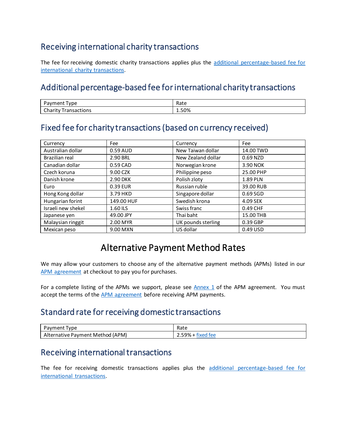### Receiving international charity transactions

The fee for receiving domestic charity transactions applies plus the additional percentage-based fee for [international charity](#page-4-2) transactions.

#### <span id="page-4-2"></span>Additional percentage-based fee for international charity transactions

| nnc<br>'IC.<br><b>- </b><br>. .                                        | Rate  |
|------------------------------------------------------------------------|-------|
| $\sim$<br>$\cdots$<br>uons<br>$\overline{\mathbf{u}}$<br>ימי<br>$\sim$ | 1.50% |

### <span id="page-4-1"></span>Fixed fee for charity transactions (based on currency received)

| Currency           | Fee        | Currency           | Fee        |
|--------------------|------------|--------------------|------------|
| Australian dollar  | 0.59 AUD   | New Taiwan dollar  | 14.00 TWD  |
| Brazilian real     | 2.90 BRL   | New Zealand dollar | 0.69 NZD   |
| Canadian dollar    | 0.59 CAD   | Norwegian krone    | 3.90 NOK   |
| Czech koruna       | 9.00 CZK   | Philippine peso    | 25.00 PHP  |
| Danish krone       | 2.90 DKK   | Polish zloty       | 1.89 PLN   |
| Euro               | 0.39 EUR   | Russian ruble      | 39.00 RUB  |
| Hong Kong dollar   | 3.79 HKD   | Singapore dollar   | $0.69$ SGD |
| Hungarian forint   | 149.00 HUF | Swedish krona      | 4.09 SEK   |
| Israeli new shekel | 1.60 ILS   | Swiss franc        | 0.49 CHF   |
| Japanese yen       | 49.00 JPY  | Thai baht          | 15.00 THB  |
| Malaysian ringgit  | 2.00 MYR   | UK pounds sterling | 0.39 GBP   |
| Mexican peso       | 9.00 MXN   | US dollar          | 0.49 USD   |

### Alternative Payment Method Rates

<span id="page-4-0"></span>We may allow your customers to choose any of the alternative payment methods (APMs) listed in our [APM agreement](https://www.paypal.com/us/webapps/mpp/ua/apm-tnc?locale.x=en_US) at checkout to pay you for purchases.

For a complete listing of the APMs we support, please see  $\Delta n$ nex 1 of the APM agreement. You must accept the terms of the **APM** agreement before receiving APM payments.

#### Standard rate for receiving domestic transactions

| vne<br>avmei | Rate           |
|--------------|----------------|
| APM)         | 0 <sub>0</sub> |
| Method       | tor            |
| - Payment    | 70 °           |
| native       | .              |
| ∼            | $\cdots$       |

#### Receiving international transactions

The fee for receiving domestic transactions applies plus the [additional percentage-based fee for](#page-1-1)  [international transactions.](#page-1-1)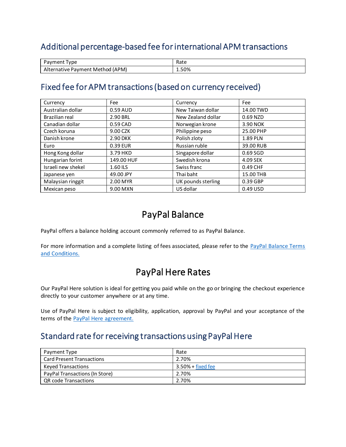### Additional percentage-based fee for international APM transactions

| Payment<br><b>vpe</b>               | Rate |
|-------------------------------------|------|
| (APM)<br>ternative Pavment Method ( | 50%. |

#### <span id="page-5-0"></span>Fixed fee for APM transactions (based on currency received)

| Currency           | Fee        | Currency           | Fee        |
|--------------------|------------|--------------------|------------|
| Australian dollar  | 0.59 AUD   | New Taiwan dollar  | 14.00 TWD  |
| Brazilian real     | 2.90 BRL   | New Zealand dollar | 0.69 NZD   |
| Canadian dollar    | 0.59 CAD   | Norwegian krone    | 3.90 NOK   |
| Czech koruna       | 9.00 CZK   | Philippine peso    | 25.00 PHP  |
| Danish krone       | 2.90 DKK   | Polish zloty       | 1.89 PLN   |
| Euro               | 0.39 EUR   | Russian ruble      | 39.00 RUB  |
| Hong Kong dollar   | 3.79 HKD   | Singapore dollar   | $0.69$ SGD |
| Hungarian forint   | 149.00 HUF | Swedish krona      | 4.09 SEK   |
| Israeli new shekel | 1.60 ILS   | Swiss franc        | 0.49 CHF   |
| Japanese yen       | 49.00 JPY  | Thai baht          | 15.00 THB  |
| Malaysian ringgit  | 2.00 MYR   | UK pounds sterling | 0.39 GBP   |
| Mexican peso       | 9.00 MXN   | US dollar          | 0.49 USD   |

# PayPal Balance

PayPal offers a balance holding account commonly referred to as PayPal Balance.

For more information and a complete listing of fees associated, please refer to the [PayPal Balance](https://www.paypal.com/us/webapps/mpp/ua/cashagreement-full?locale.x=en_US) Terms [and Conditions.](https://www.paypal.com/us/webapps/mpp/ua/cashagreement-full?locale.x=en_US)

# PayPal Here Rates

Our PayPal Here solution is ideal for getting you paid while on the go or bringing the checkout experience directly to your customer anywhere or at any time.

Use of PayPal Here is subject to eligibility, application, approval by PayPal and your acceptance of the terms of the [PayPal Here agreement.](https://www.paypal.com/us/webapps/mpp/ua/paypalhereterms-full?locale.x=en_US) 

#### Standard rate for receiving transactions using PayPal Here

| Payment Type                     | Rate                       |
|----------------------------------|----------------------------|
| <b>Card Present Transactions</b> | 2.70%                      |
| <b>Keved Transactions</b>        | $3.50\% + fixed$ fixed fee |
| PayPal Transactions (In Store)   | 2.70%                      |
| QR code Transactions             | 2.70%                      |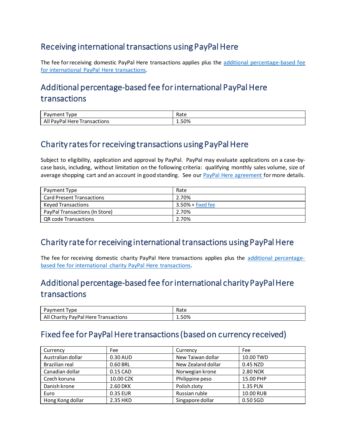### Receiving international transactions using PayPal Here

The fee for receiving domestic PayPal Here transactions applies plus the additional percentage-based fee [for international PayPal Here](#page-6-1) transactions.

# <span id="page-6-1"></span>Additional percentage-based fee for international PayPal Here transactions

| 'vpe<br>avmer                                               | Rate  |
|-------------------------------------------------------------|-------|
| PavPa<br><b>Here</b><br><b>Transactions</b><br>″⊿ '<br>Ali. | 1.50% |

### Charity rates for receiving transactions using PayPal Here

Subject to eligibility, application and approval by PayPal. PayPal may evaluate applications on a case-bycase basis, including, without limitation on the following criteria: qualifying monthly sales volume, size of average shopping cart and an account in good standing. See our [PayPal Here agreement](https://www.paypal.com/us/webapps/mpp/ua/paypalhereterms-full?locale.x=en_US) for more details.

| Payment Type                     | Rate                       |
|----------------------------------|----------------------------|
| <b>Card Present Transactions</b> | 2.70%                      |
| <b>Keved Transactions</b>        | $3.50\% + fixed$ fixed fee |
| PayPal Transactions (In Store)   | 2.70%                      |
| QR code Transactions             | 2.70%                      |

### Charity rate for receiving international transactions using PayPal Here

The fee for receiving domestic charity PayPal Here transactions applies plus the [additional percentage](#page-6-2)[based fee for international charity PayPal Here](#page-6-2) transactions.

# <span id="page-6-2"></span>Additional percentage-based fee for international charity PayPal Here transactions

| 'vpe<br>'avment                               | Rate |
|-----------------------------------------------|------|
| Charity PayPal<br>Alı<br>Here<br>Fransactions | 30%، |

### <span id="page-6-0"></span>Fixed fee for PayPal Here transactions (based on currency received)

| Currency          | Fee       | Currency           | Fee       |
|-------------------|-----------|--------------------|-----------|
| Australian dollar | 0.30 AUD  | New Taiwan dollar  | 10.00 TWD |
| Brazilian real    | 0.60 BRL  | New Zealand dollar | 0.45 NZD  |
| Canadian dollar   | 0.15 CAD  | Norwegian krone    | 2.80 NOK  |
| Czech koruna      | 10.00 CZK | Philippine peso    | 15.00 PHP |
| Danish krone      | 2.60 DKK  | Polish zloty       | 1.35 PLN  |
| Euro              | 0.35 EUR  | Russian ruble      | 10.00 RUB |
| Hong Kong dollar  | 2.35 HKD  | Singapore dollar   | 0.50 SGD  |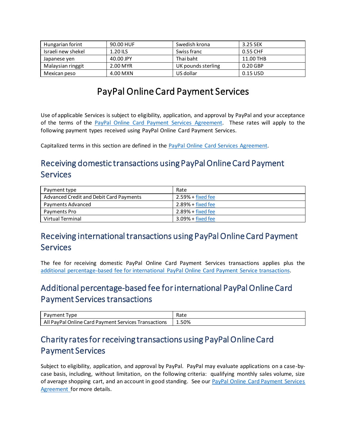| Hungarian forint   | 90.00 HUF  | Swedish krona      | 3.25 SEK   |
|--------------------|------------|--------------------|------------|
| Israeli new shekel | $1.20$ ILS | Swiss franc        | 0.55 CHF   |
| Japanese yen       | 40.00 JPY  | Thai baht          | 11.00 THB  |
| Malaysian ringgit  | 2.00 MYR   | UK pounds sterling | $0.20$ GBP |
| Mexican peso       | 4.00 MXN   | US dollar          | 0.15 USD   |

# PayPal Online Card Payment Services

Use of applicable Services is subject to eligibility, application, and approval by PayPal and your acceptance of the terms of the [PayPal Online Card Payment Services](file:///C:/Users/astohlman/Documents/2018%20LEGAL%20DOCS/FEES%20PAGES/Redesign%20Inventory%202019/•%09https:/www.paypal.com/us/webapps/mpp/ua/pocpsa-full%3flocale.x=en_US) Agreement. These rates will apply to the following payment types received using PayPal Online Card Payment Services.

Capitalized terms in this section are defined in the [PayPal Online Card Services](https://www.paypal.com/us/webapps/mpp/ua/pocpsa-full?locale.x=en_US) Agreement.

# Receiving domestic transactions using PayPal Online Card Payment **Services**

| Payment type                            | Rate                      |
|-----------------------------------------|---------------------------|
| Advanced Credit and Debit Card Payments | $2.59% + fixed$ fixed fee |
| Payments Advanced                       | $2.89% + fixed$ fixed fee |
| Payments Pro                            | $2.89% + fixed$ fixed fee |
| Virtual Terminal                        | $3.09% + fixed$ fixed fee |

### Receiving international transactions using PayPal Online Card Payment Services

The fee for receiving domestic PayPal Online Card Payment Services transactions applies plus the [additional percentage-based fee for international PayPal Online Card Payment Service](#page-7-0) transactions.

## <span id="page-7-0"></span>Additional percentage-based fee for international PayPal Online Card Payment Services transactions

| vpe<br>ment<br>avr                                                           | - Ratu |
|------------------------------------------------------------------------------|--------|
| All<br>Online Card<br>. Services i<br>Transactions<br>∵PavPal ∟<br>, Pavment | 1.50%  |

## Charity rates for receiving transactions using PayPal Online Card Payment Services

Subject to eligibility, application, and approval by PayPal. PayPal may evaluate applications on a case-bycase basis, including, without limitation, on the following criteria: qualifying monthly sales volume, size of average shopping cart, and an account in good standing. See our [PayPal Online Card Payment Services](file:///C:/Users/astohlman/Documents/2018%20LEGAL%20DOCS/FEES%20PAGES/Redesign%20Inventory%202019/•%09https:/www.paypal.com/us/webapps/mpp/ua/pocpsa-full%3flocale.x=en_US) [Agreement](file:///C:/Users/astohlman/Documents/2018%20LEGAL%20DOCS/FEES%20PAGES/Redesign%20Inventory%202019/•%09https:/www.paypal.com/us/webapps/mpp/ua/pocpsa-full%3flocale.x=en_US) for more details.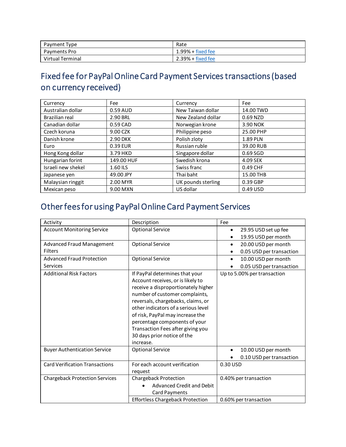| Payment Type     | Rate                      |
|------------------|---------------------------|
| Payments Pro     | $1.99%$ + fixed fee       |
| Virtual Terminal | $2.39% + fixed$ fixed fee |

# <span id="page-8-0"></span>Fixed fee for PayPal Online Card Payment Services transactions (based on currency received)

| Currency           | Fee        | Currency           | Fee       |
|--------------------|------------|--------------------|-----------|
| Australian dollar  | 0.59 AUD   | New Taiwan dollar  | 14.00 TWD |
| Brazilian real     | 2.90 BRL   | New Zealand dollar | 0.69 NZD  |
| Canadian dollar    | 0.59 CAD   | Norwegian krone    | 3.90 NOK  |
| Czech koruna       | 9.00 CZK   | Philippine peso    | 25.00 PHP |
| Danish krone       | 2.90 DKK   | Polish zloty       | 1.89 PLN  |
| Euro               | 0.39 EUR   | Russian ruble      | 39.00 RUB |
| Hong Kong dollar   | 3.79 HKD   | Singapore dollar   | 0.69 SGD  |
| Hungarian forint   | 149.00 HUF | Swedish krona      | 4.09 SEK  |
| Israeli new shekel | 1.60 ILS   | Swiss franc        | 0.49 CHF  |
| Japanese yen       | 49.00 JPY  | Thai baht          | 15.00 THB |
| Malaysian ringgit  | 2.00 MYR   | UK pounds sterling | 0.39 GBP  |
| Mexican peso       | 9.00 MXN   | US dollar          | 0.49 USD  |

# Other fees for using PayPal Online Card Payment Services

| Activity                              | Description                             | Fee                               |
|---------------------------------------|-----------------------------------------|-----------------------------------|
| <b>Account Monitoring Service</b>     | <b>Optional Service</b>                 | 29.95 USD set up fee<br>$\bullet$ |
|                                       |                                         | 19.95 USD per month               |
| <b>Advanced Fraud Management</b>      | <b>Optional Service</b>                 | 20.00 USD per month<br>$\bullet$  |
| <b>Filters</b>                        |                                         | 0.05 USD per transaction<br>٠     |
| <b>Advanced Fraud Protection</b>      | <b>Optional Service</b>                 | 10.00 USD per month<br>$\bullet$  |
| Services                              |                                         | 0.05 USD per transaction          |
| <b>Additional Risk Factors</b>        | If PayPal determines that your          | Up to 5.00% per transaction       |
|                                       | Account receives, or is likely to       |                                   |
|                                       | receive a disproportionately higher     |                                   |
|                                       | number of customer complaints,          |                                   |
|                                       | reversals, chargebacks, claims, or      |                                   |
|                                       | other indicators of a serious level     |                                   |
|                                       | of risk, PayPal may increase the        |                                   |
|                                       | percentage components of your           |                                   |
|                                       | Transaction Fees after giving you       |                                   |
|                                       | 30 days prior notice of the             |                                   |
|                                       | increase.                               |                                   |
| <b>Buyer Authentication Service</b>   | <b>Optional Service</b>                 | 10.00 USD per month               |
|                                       |                                         | 0.10 USD per transaction          |
| <b>Card Verification Transactions</b> | For each account verification           | 0.30 USD                          |
|                                       | request                                 |                                   |
| <b>Chargeback Protection Services</b> | <b>Chargeback Protection</b>            | 0.40% per transaction             |
|                                       | <b>Advanced Credit and Debit</b>        |                                   |
|                                       | Card Payments                           |                                   |
|                                       | <b>Effortless Chargeback Protection</b> | 0.60% per transaction             |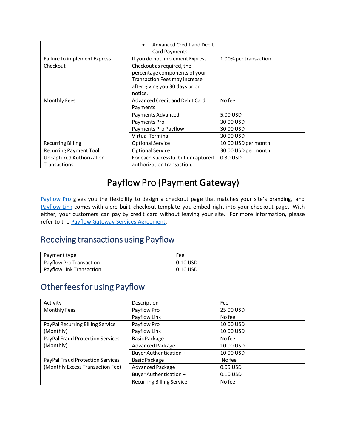|                                                        | Advanced Credit and Debit<br>Card Payments                                                                                                                                  |                       |
|--------------------------------------------------------|-----------------------------------------------------------------------------------------------------------------------------------------------------------------------------|-----------------------|
| Failure to implement Express<br>Checkout               | If you do not implement Express<br>Checkout as required, the<br>percentage components of your<br>Transaction Fees may increase<br>after giving you 30 days prior<br>notice. | 1.00% per transaction |
| <b>Monthly Fees</b>                                    | Advanced Credit and Debit Card<br>Payments                                                                                                                                  | No fee                |
|                                                        | Payments Advanced                                                                                                                                                           | 5.00 USD              |
|                                                        | Payments Pro                                                                                                                                                                | 30.00 USD             |
|                                                        | Payments Pro Payflow                                                                                                                                                        | 30.00 USD             |
|                                                        | <b>Virtual Terminal</b>                                                                                                                                                     | 30.00 USD             |
| <b>Recurring Billing</b>                               | <b>Optional Service</b>                                                                                                                                                     | 10.00 USD per month   |
| <b>Recurring Payment Tool</b>                          | <b>Optional Service</b>                                                                                                                                                     | 30.00 USD per month   |
| <b>Uncaptured Authorization</b><br><b>Transactions</b> | For each successful but uncaptured<br>authorization transaction.                                                                                                            | 0.30 USD              |

# Payflow Pro (Payment Gateway)

[Payflow Pro](https://www.paypal.com/us/webapps/mpp/payflow-payment-gateway?locale.x=en_US) gives you the flexibility to design a checkout page that matches your site's branding, and [Payflow Link](https://www.paypal.com/us/webapps/mpp/payflow-payment-gateway?locale.x=en_US) comes with a pre-built checkout template you embed right into your checkout page. With either, your customers can pay by credit card without leaving your site. For more information, please refer to the **Payflow Gateway Services Agreement**.

### Receiving transactions using Payflow

| Payment type             | Fee        |
|--------------------------|------------|
| Payflow Pro Transaction  | $0.10$ USD |
| Payflow Link Transaction | $0.10$ USD |

# Other fees for using Payflow

| Activity                         | Description                      | Fee        |
|----------------------------------|----------------------------------|------------|
| <b>Monthly Fees</b>              | Payflow Pro                      | 25.00 USD  |
|                                  | Payflow Link                     | No fee     |
| PayPal Recurring Billing Service | Payflow Pro                      | 10.00 USD  |
| (Monthly)                        | Payflow Link                     | 10.00 USD  |
| PayPal Fraud Protection Services | <b>Basic Package</b>             | No fee     |
| (Monthly)                        | Advanced Package                 | 10.00 USD  |
|                                  | Buyer Authentication +           | 10.00 USD  |
| PayPal Fraud Protection Services | <b>Basic Package</b>             | No fee     |
| (Monthly Excess Transaction Fee) | Advanced Package                 | 0.05 USD   |
|                                  | Buyer Authentication +           | $0.10$ USD |
|                                  | <b>Recurring Billing Service</b> | No fee     |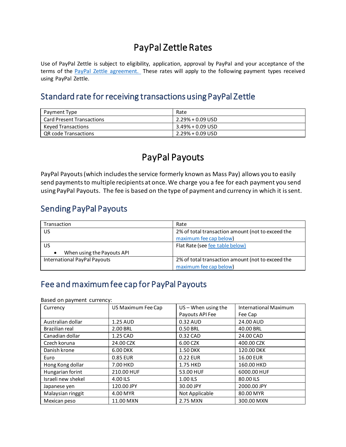# PayPal Zettle Rates

Use of PayPal Zettle is subject to eligibility, application, approval by PayPal and your acceptance of the terms of the [PayPal Zettle](https://www.paypal.com/us/webapps/mpp/ua/zettle-tnc) agreement. These rates will apply to the following payment types received using PayPal Zettle.

#### Standard rate for receiving transactions using PayPal Zettle

| Payment Type                     | Rate                |
|----------------------------------|---------------------|
| <b>Card Present Transactions</b> | 2.29% + 0.09 USD    |
| Keyed Transactions               | $3.49\% + 0.09$ USD |
| QR code Transactions             | $2.29\% + 0.09$ USD |

## PayPal Payouts

PayPal Payouts (which includes the service formerly known as Mass Pay) allows you to easily send payments to multiple recipients at once. We charge you a fee for each payment you send using PayPal Payouts. The fee is based on the type of payment and currency in which it is sent.

### Sending PayPal Payouts

| Transaction                  | Rate                                              |
|------------------------------|---------------------------------------------------|
| US                           | 2% of total transaction amount (not to exceed the |
|                              | maximum fee cap below)                            |
| US.                          | Flat Rate (see fee table below)                   |
| When using the Payouts API   |                                                   |
| International PayPal Payouts | 2% of total transaction amount (not to exceed the |
|                              | maximum fee cap below)                            |

### <span id="page-10-0"></span>Fee and maximum fee cap for PayPal Payouts

Based on payment currency:

| Currency           | US Maximum Fee Cap | $US -$ When using the | <b>International Maximum</b> |
|--------------------|--------------------|-----------------------|------------------------------|
|                    |                    | Payouts API Fee       | Fee Cap                      |
| Australian dollar  | 1.25 AUD           | 0.32 AUD              | 24.00 AUD                    |
| Brazilian real     | 2.00 BRL           | 0.50 BRL              | 40.00 BRL                    |
| Canadian dollar    | 1.25 CAD           | 0.32 CAD              | 24.00 CAD                    |
| Czech koruna       | 24.00 CZK          | 6.00 CZK              | 400.00 CZK                   |
| Danish krone       | 6.00 DKK           | <b>1.50 DKK</b>       | 120.00 DKK                   |
| Euro               | 0.85 EUR           | 0.22 EUR              | 16.00 EUR                    |
| Hong Kong dollar   | 7.00 HKD           | 1.75 HKD              | 160.00 HKD                   |
| Hungarian forint   | 210.00 HUF         | 53.00 HUF             | 6000.00 HUF                  |
| Israeli new shekel | 4.00 ILS           | 1.00 ILS              | 80.00 ILS                    |
| Japanese yen       | 120.00 JPY         | 30.00 JPY             | 2000.00 JPY                  |
| Malaysian ringgit  | 4.00 MYR           | Not Applicable        | 80.00 MYR                    |
| Mexican peso       | 11.00 MXN          | 2.75 MXN              | 300.00 MXN                   |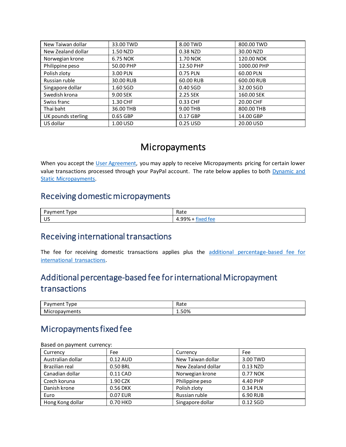| New Taiwan dollar  | 33.00 TWD | 8.00 TWD   | 800.00 TWD  |
|--------------------|-----------|------------|-------------|
| New Zealand dollar | 1.50 NZD  | 0.38 NZD   | 30.00 NZD   |
| Norwegian krone    | 6.75 NOK  | 1.70 NOK   | 120.00 NOK  |
| Philippine peso    | 50.00 PHP | 12.50 PHP  | 1000.00 PHP |
| Polish zloty       | 3.00 PLN  | 0.75 PLN   | 60.00 PLN   |
| Russian ruble      | 30.00 RUB | 60.00 RUB  | 600.00 RUB  |
| Singapore dollar   | 1.60 SGD  | $0.40$ SGD | 32.00 SGD   |
| Swedish krona      | 9.00 SEK  | 2.25 SEK   | 160.00 SEK  |
| Swiss franc        | 1.30 CHF  | 0.33 CHF   | 20.00 CHF   |
| Thai baht          | 36.00 THB | 9.00 THB   | 800.00 THB  |
| UK pounds sterling | 0.65 GBP  | 0.17 GBP   | 14.00 GBP   |
| US dollar          | 1.00 USD  | 0.25 USD   | 20.00 USD   |

### Micropayments

When you accept the [User Agreement,](https://www.paypal.com/us/webapps/mpp/ua/useragreement-full?locale.x=en_US) you may apply to receive Micropayments pricing for certain lower value transactions processed through your PayPal account. The rate below applies to both [Dynamic](https://www.paypal.com/us/webapps/mpp/ua/useragreement-full?locale.x=en_US#micropayments-fees) and Static [Micropayments.](https://www.paypal.com/us/webapps/mpp/ua/useragreement-full?locale.x=en_US#micropayments-fees)

#### Receiving domestic micropayments

| _<br>-<br>$\sim$<br>'vpe<br>11 C<br>. | $D \rightarrow +$<br>Rate |
|---------------------------------------|---------------------------|
| $\cdots$<br>υJ                        | ٬۵۵<br>tor<br>70<br>.     |

#### <span id="page-11-0"></span>Receiving international transactions

The fee for receiving domestic transactions applies plus the [additional percentage-based fee for](#page-1-1)  [international transactions.](#page-1-1) 

## Additional percentage-based fee for international Micropayment transactions

| $\overline{\phantom{a}}$<br>'vpe<br>ment<br><b>AVI</b> | Rate |
|--------------------------------------------------------|------|
| .<br>Micr<br>vments<br>$\cdots$<br>. opavr             | —50% |

### Micropayments fixed fee

| Dased On payment currency. |          |                    |            |  |
|----------------------------|----------|--------------------|------------|--|
| Currency                   | Fee      | Currency           | Fee        |  |
| Australian dollar          | 0.12 AUD | New Taiwan dollar  | 3.00 TWD   |  |
| Brazilian real             | 0.50 BRL | New Zealand dollar | 0.13 NZD   |  |
| Canadian dollar            | 0.11 CAD | Norwegian krone    | 0.77 NOK   |  |
| Czech koruna               | 1.90 CZK | Philippine peso    | 4.40 PHP   |  |
| Danish krone               | 0.56 DKK | Polish zloty       | 0.34 PLN   |  |
| Euro                       | 0.07 EUR | Russian ruble      | 6.90 RUB   |  |
| Hong Kong dollar           | 0.70 HKD | Singapore dollar   | $0.12$ SGD |  |

Based on payment currency: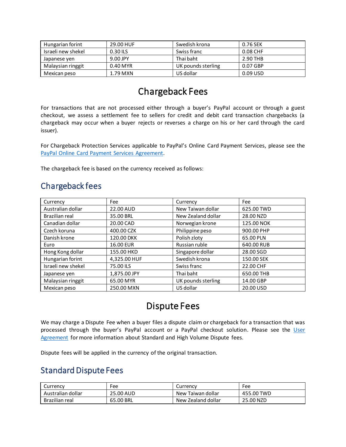| Hungarian forint   | 29.00 HUF | Swedish krona      | 0.76 SEK |
|--------------------|-----------|--------------------|----------|
| Israeli new shekel | 0.30 ILS  | Swiss franc        | 0.08 CHF |
| Japanese yen       | 9.00 JPY  | Thai baht          | 2.90 THB |
| Malaysian ringgit  | 0.40 MYR  | UK pounds sterling | 0.07 GBP |
| Mexican peso       | 1.79 MXN  | US dollar          | 0.09 USD |

# Chargeback Fees

For transactions that are not processed either through a buyer's PayPal account or through a guest checkout, we assess a settlement fee to sellers for credit and debit card transaction chargebacks (a chargeback may occur when a buyer rejects or reverses a charge on his or her card through the card issuer).

For Chargeback Protection Services applicable to PayPal's Online Card Payment Services, please see the [PayPal Online Card Payment Services Agreement.](file:///C:/Users/astohlman/Documents/2018%20LEGAL%20DOCS/FEES%20PAGES/Redesign%20Inventory%202019/•%09https:/www.paypal.com/us/webapps/mpp/ua/pocpsa-full%3flocale.x=en_US)

The chargeback fee is based on the currency received as follows:

### Chargeback fees

| Currency           | Fee          | Currency           | Fee        |
|--------------------|--------------|--------------------|------------|
| Australian dollar  | 22.00 AUD    | New Taiwan dollar  | 625.00 TWD |
| Brazilian real     | 35.00 BRL    | New Zealand dollar | 28.00 NZD  |
| Canadian dollar    | 20.00 CAD    | Norwegian krone    | 125.00 NOK |
| Czech koruna       | 400.00 CZK   | Philippine peso    | 900.00 PHP |
| Danish krone       | 120.00 DKK   | Polish zloty       | 65.00 PLN  |
| Euro               | 16.00 EUR    | Russian ruble      | 640.00 RUB |
| Hong Kong dollar   | 155.00 HKD   | Singapore dollar   | 28.00 SGD  |
| Hungarian forint   | 4,325.00 HUF | Swedish krona      | 150.00 SEK |
| Israeli new shekel | 75.00 ILS    | Swiss franc        | 22.00 CHF  |
| Japanese yen       | 1,875.00 JPY | Thai baht          | 650.00 THB |
| Malaysian ringgit  | 65.00 MYR    | UK pounds sterling | 14.00 GBP  |
| Mexican peso       | 250.00 MXN   | US dollar          | 20.00 USD  |

# Dispute Fees

<span id="page-12-0"></span>We may charge a Dispute Fee when a buyer files a dispute claim or chargeback for a transaction that was processed through the buyer's PayPal account or a PayPal checkout solution. Please see the User [Agreement](https://www.paypal.com/us/webapps/mpp/ua/useragreement-full?locale.x=en_US) for more information about Standard and High Volume Dispute fees.

Dispute fees will be applied in the currency of the original transaction.

#### Standard Dispute Fees

| Currency          | ™ee       | Currency           | Fee        |
|-------------------|-----------|--------------------|------------|
| Australian dollar | 25.00 AUD | New Taiwan dollar  | 455.00 TWD |
| Brazilian real    | 65.00 BRL | New Zealand dollar | 25.00 NZD  |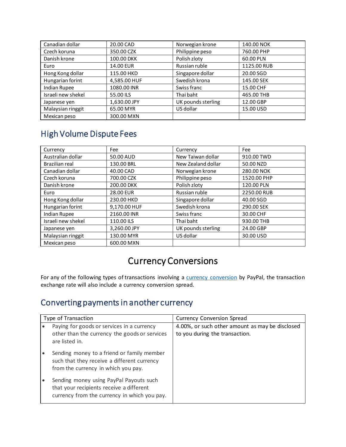| Canadian dollar    | 20.00 CAD    | Norwegian krone    | 140.00 NOK  |
|--------------------|--------------|--------------------|-------------|
| Czech koruna       | 350.00 CZK   | Philippine peso    | 760.00 PHP  |
| Danish krone       | 100.00 DKK   | Polish zloty       | 60.00 PLN   |
| Euro               | 14.00 EUR    | Russian ruble      | 1125.00 RUB |
| Hong Kong dollar   | 115.00 HKD   | Singapore dollar   | 20.00 SGD   |
| Hungarian forint   | 4,585.00 HUF | Swedish krona      | 145.00 SEK  |
| Indian Rupee       | 1080.00 INR  | Swiss franc        | 15.00 CHF   |
| Israeli new shekel | 55.00 ILS    | Thai baht          | 465.00 THB  |
| Japanese yen       | 1,630.00 JPY | UK pounds sterling | 12.00 GBP   |
| Malaysian ringgit  | 65.00 MYR    | US dollar          | 15.00 USD   |
| Mexican peso       | 300.00 MXN   |                    |             |

# High Volume Dispute Fees

| Currency           | Fee          | Currency           | Fee         |
|--------------------|--------------|--------------------|-------------|
| Australian dollar  | 50.00 AUD    | New Taiwan dollar  | 910.00 TWD  |
| Brazilian real     | 130.00 BRL   | New Zealand dollar | 50.00 NZD   |
| Canadian dollar    | 40.00 CAD    | Norwegian krone    | 280.00 NOK  |
| Czech koruna       | 700.00 CZK   | Philippine peso    | 1520.00 PHP |
| Danish krone       | 200.00 DKK   | Polish zloty       | 120.00 PLN  |
| Euro               | 28.00 EUR    | Russian ruble      | 2250.00 RUB |
| Hong Kong dollar   | 230.00 HKD   | Singapore dollar   | 40.00 SGD   |
| Hungarian forint   | 9,170.00 HUF | Swedish krona      | 290.00 SEK  |
| Indian Rupee       | 2160.00 INR  | Swiss franc        | 30.00 CHF   |
| Israeli new shekel | 110.00 ILS   | Thai baht          | 930.00 THB  |
| Japanese yen       | 3,260.00 JPY | UK pounds sterling | 24.00 GBP   |
| Malaysian ringgit  | 130.00 MYR   | US dollar          | 30.00 USD   |
| Mexican peso       | 600.00 MXN   |                    |             |

# Currency Conversions

For any of the following types of transactions involving a [currency conversion](https://www.paypal.com/us/webapps/mpp/ua/useragreement-full?locale.x=en_US#currency-conversion) by PayPal, the transaction exchange rate will also include a currency conversion spread.

### Converting payments in another currency

| Type of Transaction                                                                                                                 | <b>Currency Conversion Spread</b>                                                 |
|-------------------------------------------------------------------------------------------------------------------------------------|-----------------------------------------------------------------------------------|
| Paying for goods or services in a currency<br>other than the currency the goods or services<br>are listed in.                       | 4.00%, or such other amount as may be disclosed<br>to you during the transaction. |
| Sending money to a friend or family member<br>such that they receive a different currency<br>from the currency in which you pay.    |                                                                                   |
| Sending money using PayPal Payouts such<br>that your recipients receive a different<br>currency from the currency in which you pay. |                                                                                   |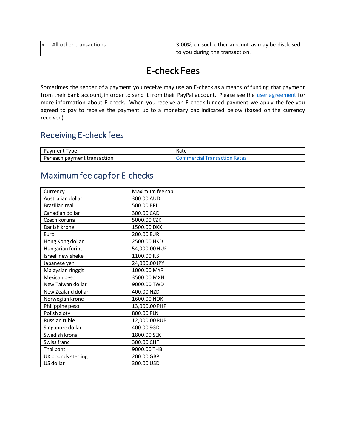| ▎● | All other transactions | 3.00%, or such other amount as may be disclosed |
|----|------------------------|-------------------------------------------------|
|    |                        | to you during the transaction.                  |

# E-check Fees

Sometimes the sender of a payment you receive may use an E-check as a means of funding that payment from their bank account, in order to send it from their PayPal account. Please see the [user agreement](https://www.paypal.com/uk/webapps/mpp/ua/useragreement-full?locale.x=en_GB) for more information about E-check. When you receive an E-check funded payment we apply the fee you agreed to pay to receive the payment up to a monetary cap indicated below (based on the currency received):

### Receiving E-check fees

| Pavment<br>'vpe                   | Rate                                        |
|-----------------------------------|---------------------------------------------|
| Per each<br>i payment transaction | cion Rates<br><b>Commercial</b><br>'ransacı |

### Maximum fee cap for E-checks

| Currency              | Maximum fee cap |
|-----------------------|-----------------|
| Australian dollar     | 300.00 AUD      |
| <b>Brazilian real</b> | 500.00 BRL      |
| Canadian dollar       | 300.00 CAD      |
| Czech koruna          | 5000.00 CZK     |
| Danish krone          | 1500.00 DKK     |
| Euro                  | 200.00 EUR      |
| Hong Kong dollar      | 2500.00 HKD     |
| Hungarian forint      | 54,000.00 HUF   |
| Israeli new shekel    | 1100.00 ILS     |
| Japanese yen          | 24,000.00 JPY   |
| Malaysian ringgit     | 1000.00 MYR     |
| Mexican peso          | 3500.00 MXN     |
| New Taiwan dollar     | 9000.00 TWD     |
| New Zealand dollar    | 400.00 NZD      |
| Norwegian krone       | 1600.00 NOK     |
| Philippine peso       | 13,000.00 PHP   |
| Polish zloty          | 800.00 PLN      |
| Russian ruble         | 12,000.00 RUB   |
| Singapore dollar      | 400.00 SGD      |
| Swedish krona         | 1800.00 SEK     |
| Swiss franc           | 300.00 CHF      |
| Thai baht             | 9000.00 THB     |
| UK pounds sterling    | 200.00 GBP      |
| US dollar             | 300.00 USD      |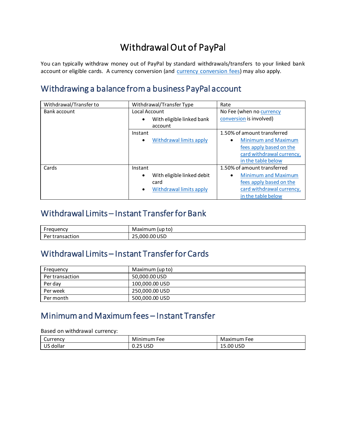# Withdrawal Out of PayPal

You can typically withdraw money out of PayPal by standard withdrawals/transfers to your linked bank account or eligible cards. A currency conversion (and **currency conversion fees**) may also apply.

# Withdrawing a balance from a business PayPal account

| Withdrawal/Transfer to | Withdrawal/Transfer Type             | Rate                                    |
|------------------------|--------------------------------------|-----------------------------------------|
| Bank account           | Local Account                        | No Fee (when no currency                |
|                        | With eligible linked bank            | conversion is involved)                 |
|                        | account                              |                                         |
|                        | Instant                              | 1.50% of amount transferred             |
|                        | Withdrawal limits apply<br>$\bullet$ | <b>Minimum and Maximum</b><br>$\bullet$ |
|                        |                                      | fees apply based on the                 |
|                        |                                      | card withdrawal currency,               |
|                        |                                      | in the table below                      |
| Cards                  | Instant                              | 1.50% of amount transferred             |
|                        | With eligible linked debit           | <b>Minimum and Maximum</b>              |
|                        | card                                 | fees apply based on the                 |
|                        | Withdrawal limits apply<br>$\bullet$ | card withdrawal currency,               |
|                        |                                      | in the table below                      |

### <span id="page-15-0"></span>Withdrawal Limits – Instant Transfer for Bank

| יחוומים         | (up to)                 |
|-----------------|-------------------------|
| uuenc           | Maximum                 |
| iction<br>ansac | 000.00 USD,<br>ີ່<br>-- |

### <span id="page-15-1"></span>Withdrawal Limits – Instant Transfer for Cards

| Frequency       | Maximum (up to) |
|-----------------|-----------------|
| Per transaction | 50,000.00 USD   |
| Per dav         | 100,000.00 USD  |
| Per week        | 250,000.00 USD  |
| Per month       | 500,000.00 USD  |

# Minimum and Maximum fees – Instant Transfer

Based on withdrawal currency:

| ∽<br>Currency            | Mi<br>lınımum<br>Fee | Maximum<br>Fee |
|--------------------------|----------------------|----------------|
| $\sim$<br>, dollar<br>ັບ | USD<br>. .           | 15.00 USD      |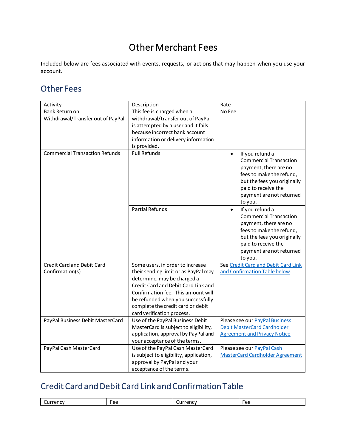# Other Merchant Fees

Included below are fees associated with events, requests, or actions that may happen when you use your account.

### Other Fees

| Activity                              | Description                             | Rate                                                                                                                                                                                                            |  |
|---------------------------------------|-----------------------------------------|-----------------------------------------------------------------------------------------------------------------------------------------------------------------------------------------------------------------|--|
| Bank Return on                        | This fee is charged when a              | No Fee                                                                                                                                                                                                          |  |
| Withdrawal/Transfer out of PayPal     | withdrawal/transfer out of PayPal       |                                                                                                                                                                                                                 |  |
|                                       | is attempted by a user and it fails     |                                                                                                                                                                                                                 |  |
|                                       | because incorrect bank account          |                                                                                                                                                                                                                 |  |
|                                       | information or delivery information     |                                                                                                                                                                                                                 |  |
|                                       | is provided.                            |                                                                                                                                                                                                                 |  |
| <b>Commercial Transaction Refunds</b> | <b>Full Refunds</b>                     | If you refund a<br>$\bullet$<br><b>Commercial Transaction</b><br>payment, there are no<br>fees to make the refund,<br>but the fees you originally<br>paid to receive the<br>payment are not returned<br>to you. |  |
|                                       | <b>Partial Refunds</b>                  | If you refund a<br>$\bullet$<br><b>Commercial Transaction</b><br>payment, there are no<br>fees to make the refund,<br>but the fees you originally<br>paid to receive the<br>payment are not returned<br>to you. |  |
| Credit Card and Debit Card            | Some users, in order to increase        | See Credit Card and Debit Card Link                                                                                                                                                                             |  |
| Confirmation(s)                       | their sending limit or as PayPal may    | and Confirmation Table below.                                                                                                                                                                                   |  |
|                                       | determine, may be charged a             |                                                                                                                                                                                                                 |  |
|                                       | Credit Card and Debit Card Link and     |                                                                                                                                                                                                                 |  |
|                                       | Confirmation fee. This amount will      |                                                                                                                                                                                                                 |  |
|                                       | be refunded when you successfully       |                                                                                                                                                                                                                 |  |
|                                       | complete the credit card or debit       |                                                                                                                                                                                                                 |  |
|                                       | card verification process.              |                                                                                                                                                                                                                 |  |
| PayPal Business Debit MasterCard      | Use of the PayPal Business Debit        | Please see our PayPal Business                                                                                                                                                                                  |  |
|                                       | MasterCard is subject to eligibility,   | <b>Debit MasterCard Cardholder</b>                                                                                                                                                                              |  |
|                                       | application, approval by PayPal and     | <b>Agreement and Privacy Notice</b>                                                                                                                                                                             |  |
|                                       | your acceptance of the terms.           |                                                                                                                                                                                                                 |  |
| PayPal Cash MasterCard                | Use of the PayPal Cash MasterCard       | Please see our PayPal Cash                                                                                                                                                                                      |  |
|                                       | is subject to eligibility, application, | <b>MasterCard Cardholder Agreement</b>                                                                                                                                                                          |  |
|                                       | approval by PayPal and your             |                                                                                                                                                                                                                 |  |
|                                       | acceptance of the terms.                |                                                                                                                                                                                                                 |  |

# <span id="page-16-0"></span>Credit Card and Debit Card Link and Confirmation Table

| ه ۵۰<br>P<br>2.025<br>$\sim$<br>nr<br>יי<br>՝ լա<br>ີ<br>ิ<br>. . |
|-------------------------------------------------------------------|
|-------------------------------------------------------------------|